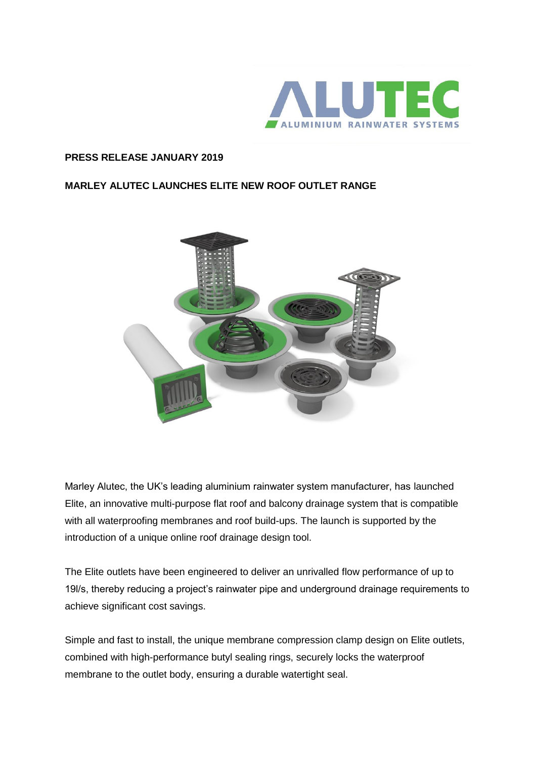

## **PRESS RELEASE JANUARY 2019**

## **MARLEY ALUTEC LAUNCHES ELITE NEW ROOF OUTLET RANGE**



Marley Alutec, the UK's leading aluminium rainwater system manufacturer, has launched Elite, an innovative multi-purpose flat roof and balcony drainage system that is compatible with all waterproofing membranes and roof build-ups. The launch is supported by the introduction of a unique online roof drainage design tool.

The Elite outlets have been engineered to deliver an unrivalled flow performance of up to 19l/s, thereby reducing a project's rainwater pipe and underground drainage requirements to achieve significant cost savings.

Simple and fast to install, the unique membrane compression clamp design on Elite outlets, combined with high-performance butyl sealing rings, securely locks the waterproof membrane to the outlet body, ensuring a durable watertight seal.